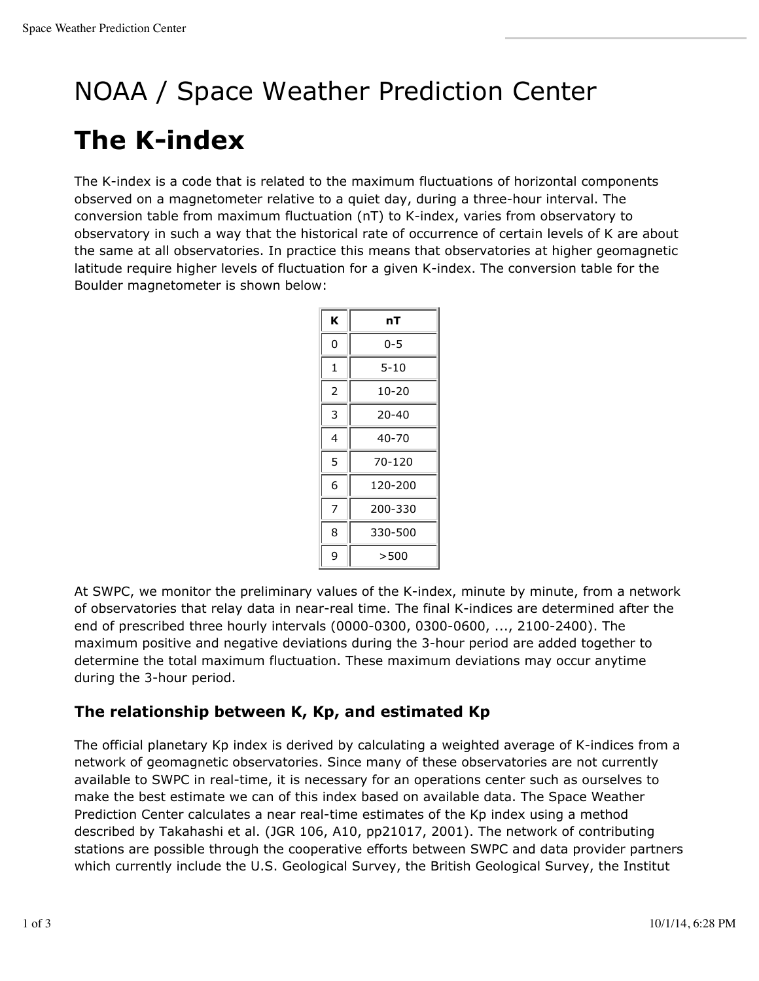# NOAA / Space Weather Prediction Center

## **The K-index**

The K-index is a code that is related to the maximum fluctuations of horizontal components observed on a magnetometer relative to a quiet day, during a three-hour interval. The conversion table from maximum fluctuation (nT) to K-index, varies from observatory to observatory in such a way that the historical rate of occurrence of certain levels of K are about the same at all observatories. In practice this means that observatories at higher geomagnetic latitude require higher levels of fluctuation for a given K-index. The conversion table for the Boulder magnetometer is shown below:

| ĸ | nT        |
|---|-----------|
| 0 | 0-5       |
| 1 | $5 - 10$  |
| 2 | $10 - 20$ |
| 3 | 20-40     |
| 4 | 40-70     |
| 5 | 70-120    |
| 6 | 120-200   |
| 7 | 200-330   |
| 8 | 330-500   |
| 9 | >500      |

At SWPC, we monitor the preliminary values of the K-index, minute by minute, from a network of observatories that relay data in near-real time. The final K-indices are determined after the end of prescribed three hourly intervals (0000-0300, 0300-0600, ..., 2100-2400). The maximum positive and negative deviations during the 3-hour period are added together to determine the total maximum fluctuation. These maximum deviations may occur anytime during the 3-hour period.

### **The relationship between K, Kp, and estimated Kp**

The official planetary Kp index is derived by calculating a weighted average of K-indices from a network of geomagnetic observatories. Since many of these observatories are not currently available to SWPC in real-time, it is necessary for an operations center such as ourselves to make the best estimate we can of this index based on available data. The Space Weather Prediction Center calculates a near real-time estimates of the Kp index using a method described by Takahashi et al. (JGR 106, A10, pp21017, 2001). The network of contributing stations are possible through the cooperative efforts between SWPC and data provider partners which currently include the U.S. Geological Survey, the British Geological Survey, the Institut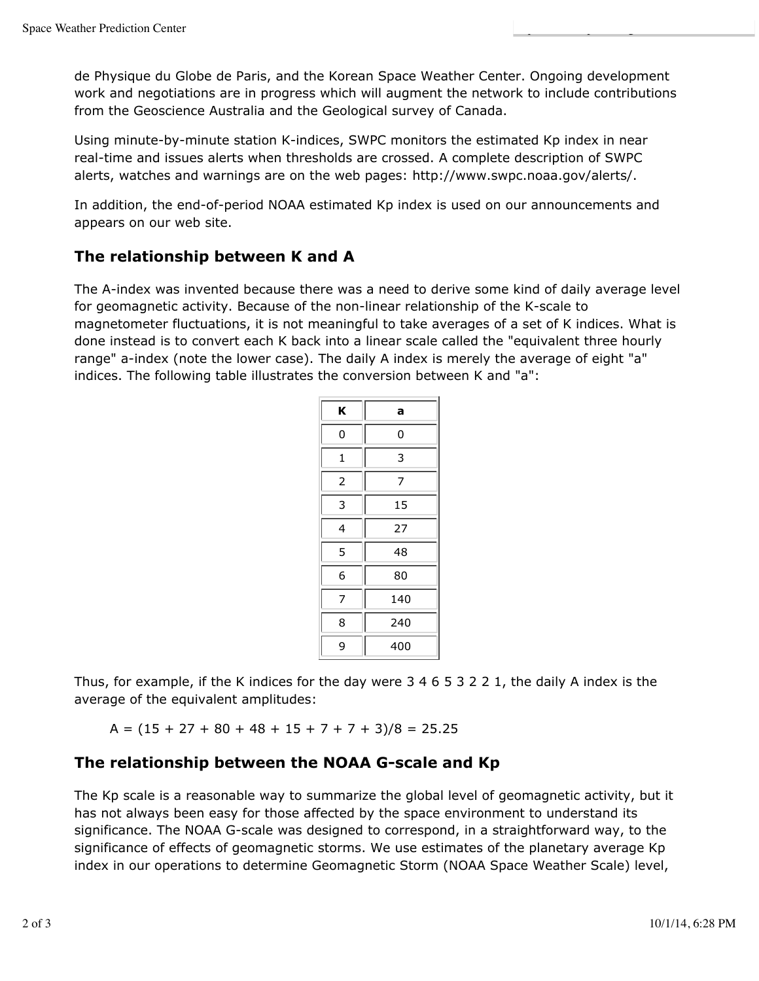de Physique du Globe de Paris, and the Korean Space Weather Center. Ongoing development work and negotiations are in progress which will augment the network to include contributions from the Geoscience Australia and the Geological survey of Canada.

Using minute-by-minute station K-indices, SWPC monitors the estimated Kp index in near real-time and issues alerts when thresholds are crossed. A complete description of SWPC alerts, watches and warnings are on the web pages: http://www.swpc.noaa.gov/alerts/.

In addition, the end-of-period NOAA estimated Kp index is used on our announcements and appears on our web site.

#### **The relationship between K and A**

The A-index was invented because there was a need to derive some kind of daily average level for geomagnetic activity. Because of the non-linear relationship of the K-scale to magnetometer fluctuations, it is not meaningful to take averages of a set of K indices. What is done instead is to convert each K back into a linear scale called the "equivalent three hourly range" a-index (note the lower case). The daily A index is merely the average of eight "a" indices. The following table illustrates the conversion between K and "a":

| κ              | a   |
|----------------|-----|
| 0              | 0   |
| 1              | 3   |
| $\overline{2}$ | 7   |
| 3              | 15  |
| 4              | 27  |
| 5              | 48  |
| 6              | 80  |
| 7              | 140 |
| 8              | 240 |
| 9              | 400 |

Thus, for example, if the K indices for the day were 3 4 6 5 3 2 2 1, the daily A index is the average of the equivalent amplitudes:

 $A = (15 + 27 + 80 + 48 + 15 + 7 + 7 + 3)/8 = 25.25$ 

#### **The relationship between the NOAA G-scale and Kp**

The Kp scale is a reasonable way to summarize the global level of geomagnetic activity, but it has not always been easy for those affected by the space environment to understand its significance. The NOAA G-scale was designed to correspond, in a straightforward way, to the significance of effects of geomagnetic storms. We use estimates of the planetary average Kp index in our operations to determine Geomagnetic Storm (NOAA Space Weather Scale) level,